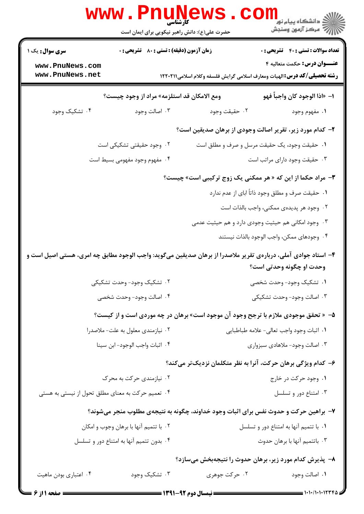|                                                                                      | <b>www.Pnunew</b><br>حضرت علی(ع): دانش راهبر نیکویی برای ایمان است |                                                                                                                                                                                                                                                                                                                                                                                                                                                                                            | \<br> <br> چ= مرکز آزمون وسنجش<br> چ= مرکز آزمون وسنجش                                                                    |
|--------------------------------------------------------------------------------------|--------------------------------------------------------------------|--------------------------------------------------------------------------------------------------------------------------------------------------------------------------------------------------------------------------------------------------------------------------------------------------------------------------------------------------------------------------------------------------------------------------------------------------------------------------------------------|---------------------------------------------------------------------------------------------------------------------------|
| <b>سری سوال :</b> یک ۱                                                               | زمان آزمون (دقیقه) : تستی : 80 ٪ تشریحی : 0                        |                                                                                                                                                                                                                                                                                                                                                                                                                                                                                            | <b>تعداد سوالات : تستی : 40 - تشریحی : 0</b>                                                                              |
| www.PnuNews.com<br>www.PnuNews.net                                                   |                                                                    |                                                                                                                                                                                                                                                                                                                                                                                                                                                                                            | <b>عنـــوان درس:</b> حکمت متعالیه ۴<br><b>رشته تحصیلی/کد درس: ا</b> لهیات ومعارف اسلامی گرایش فلسفه وکلام اسلامی۲۲۰۲۱۱ ۱۲ |
|                                                                                      | ومع الامكان قد استلزمه» مراد از وجود چیست؟                         |                                                                                                                                                                                                                                                                                                                                                                                                                                                                                            | ا− «اذا الوجود كان واجباً فهو                                                                                             |
| ۰۴ تشکیک وجود                                                                        | ۰۳ اصالت وجود                                                      | ۰۲ حقيقت وجود                                                                                                                                                                                                                                                                                                                                                                                                                                                                              | ۰۱ مفهوم وجود                                                                                                             |
|                                                                                      |                                                                    |                                                                                                                                                                                                                                                                                                                                                                                                                                                                                            | ۲- کدام مورد زیر، تقریر اصالت وجودی از برهان صدیقین است؟                                                                  |
|                                                                                      | ۰۲ وجود حقیقتی تشکیکی است                                          |                                                                                                                                                                                                                                                                                                                                                                                                                                                                                            | ٠١ حقيقت وجود، يک حقيقت مرسل و صرف و مطلق است                                                                             |
|                                                                                      | ۴. مفهوم وجود مفهومی بسیط است                                      |                                                                                                                                                                                                                                                                                                                                                                                                                                                                                            | ۰۳ حقیقت وجود دارای مراتب است                                                                                             |
| <b>۳</b> - مراد حکما از این که « هر ممکنی یک زوج ترکیبی است» چیست؟                   |                                                                    |                                                                                                                                                                                                                                                                                                                                                                                                                                                                                            |                                                                                                                           |
|                                                                                      |                                                                    |                                                                                                                                                                                                                                                                                                                                                                                                                                                                                            | ١. حقيقت صرف و مطلق وجود ذاتاً اباي از عدم ندارد                                                                          |
|                                                                                      |                                                                    |                                                                                                                                                                                                                                                                                                                                                                                                                                                                                            | ۰۲ وجود هر پدیدهی ممکنی، واجب بالذات است                                                                                  |
|                                                                                      |                                                                    |                                                                                                                                                                                                                                                                                                                                                                                                                                                                                            | ۰۳ وجود امکانی هم حیثیت وجودی دارد و هم حیثیت عدمی                                                                        |
|                                                                                      |                                                                    |                                                                                                                                                                                                                                                                                                                                                                                                                                                                                            | ۰۴ وجودهاى ممكن، واجب الوجود بالذات نيستند                                                                                |
|                                                                                      |                                                                    |                                                                                                                                                                                                                                                                                                                                                                                                                                                                                            | ۴- استاد جوادی آملی، دربارهی تقریر ملاصدرا از برهان صدیقین میگوید: واجب الوجود مطابق چه امری، هستی اصیل است و             |
|                                                                                      |                                                                    |                                                                                                                                                                                                                                                                                                                                                                                                                                                                                            | وحدت او چگونه وحدتی است؟                                                                                                  |
|                                                                                      | ۰۲ تشکیک وجود- وحدت تشکیکی                                         |                                                                                                                                                                                                                                                                                                                                                                                                                                                                                            | ۰۱ تشکیک وجود- وحدت شخصی                                                                                                  |
|                                                                                      | ۴. اصالت وجود- وحدت شخصي                                           |                                                                                                                                                                                                                                                                                                                                                                                                                                                                                            | ۰۳ اصالت وجود- وحدت تشكيكي                                                                                                |
|                                                                                      |                                                                    |                                                                                                                                                                                                                                                                                                                                                                                                                                                                                            | ۵– « تحقق موجودی ملازم با ترجح وجود آن موجود است» برهان در چه موردی است و از کیست؟                                        |
|                                                                                      | ۰۲ نیازمندی معلول به علت-ملاصدرا                                   |                                                                                                                                                                                                                                                                                                                                                                                                                                                                                            | ٠١ اثبات وجود واجب تعالى- علامه طباطبايي                                                                                  |
|                                                                                      | ۰۴ اثبات واجب الوجود-ابن سينا                                      |                                                                                                                                                                                                                                                                                                                                                                                                                                                                                            | ۰۳ اصالت وجود- ملاهادی سبزواری                                                                                            |
|                                                                                      |                                                                    |                                                                                                                                                                                                                                                                                                                                                                                                                                                                                            | ۶– کدام ویژگی برهان حرکت، آنرا به نظر متکلمان نزدیکتر میکند؟                                                              |
|                                                                                      | ۰۲ نیازمندی حرکت به محرک                                           |                                                                                                                                                                                                                                                                                                                                                                                                                                                                                            | ۰۱ وجود حرکت در خارج                                                                                                      |
| ۰۴ تعمیم حرکت به معنای مطلق تحول از نیستی به هستی                                    |                                                                    |                                                                                                                                                                                                                                                                                                                                                                                                                                                                                            | ۰۳ امتناع دور و تسلسل                                                                                                     |
| ۷- براهین حرکت و حدوث نفس برای اثبات وجود خداوند، چگونه به نتیجهی مطلوب منجر میشوند؟ |                                                                    |                                                                                                                                                                                                                                                                                                                                                                                                                                                                                            |                                                                                                                           |
|                                                                                      | ۰۲ با تتمیم آنها با برهان وجوب و امکان                             |                                                                                                                                                                                                                                                                                                                                                                                                                                                                                            | ٠١ با تتميم آنها به امتناع دور و تسلسل                                                                                    |
|                                                                                      | ۰۴ بدون تتمیم آنها به امتناع دور و تسلسل                           |                                                                                                                                                                                                                                                                                                                                                                                                                                                                                            | ۰۳ باتتميم آنها با برهان حدوث                                                                                             |
|                                                                                      |                                                                    |                                                                                                                                                                                                                                                                                                                                                                                                                                                                                            | ۸– پذیرش کدام مورد زیر، برهان حدوث را نتیجهبخش میسازد؟                                                                    |
| ۰۴ اعتباري بودن ماهيت                                                                | ۰۳ تشکیک وجود                                                      | ۰۲ حرکت جوهری                                                                                                                                                                                                                                                                                                                                                                                                                                                                              | ۰۱ اصالت وجود                                                                                                             |
|                                                                                      |                                                                    | $\blacksquare$ $\blacksquare$ $\blacksquare$ $\blacksquare$ $\blacksquare$ $\blacksquare$ $\blacksquare$ $\blacksquare$ $\blacksquare$ $\blacksquare$ $\blacksquare$ $\blacksquare$ $\blacksquare$ $\blacksquare$ $\blacksquare$ $\blacksquare$ $\blacksquare$ $\blacksquare$ $\blacksquare$ $\blacksquare$ $\blacksquare$ $\blacksquare$ $\blacksquare$ $\blacksquare$ $\blacksquare$ $\blacksquare$ $\blacksquare$ $\blacksquare$ $\blacksquare$ $\blacksquare$ $\blacksquare$ $\blacks$ |                                                                                                                           |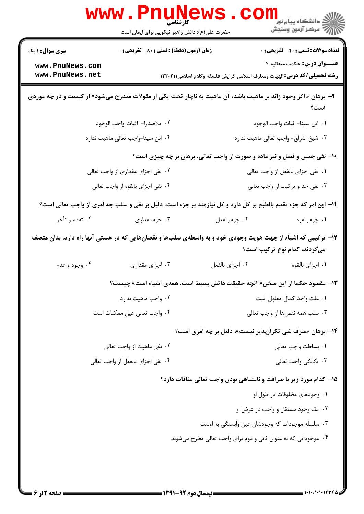|                                                                                                                                                                                                                                                  | <b>www.Pnunew</b><br>حضرت علی(ع): دانش راهبر نیکویی برای ایمان است  |                                                                                                                                                                                         | راد دانشگاه پيام نور <mark>−</mark><br>ا <mark>ر</mark> درکز آزمون وسنجش            |
|--------------------------------------------------------------------------------------------------------------------------------------------------------------------------------------------------------------------------------------------------|---------------------------------------------------------------------|-----------------------------------------------------------------------------------------------------------------------------------------------------------------------------------------|-------------------------------------------------------------------------------------|
| <b>سری سوال : ۱ یک</b><br>www.PnuNews.com                                                                                                                                                                                                        | زمان آزمون (دقیقه) : تستی : 80 ٪ تشریحی : 0                         |                                                                                                                                                                                         | <b>تعداد سوالات : تستی : 40 - تشریحی : .</b><br><b>عنـــوان درس:</b> حکمت متعالیه ۴ |
| www.PnuNews.net<br><b>رشته تحصیلی/گد درس:</b> الهیات ومعارف اسلامی گرایش فلسفه وکلام اسلامی۱۲۲۰۲۱۱<br>۹- برهان « اگر وجود زائد بر ماهیت باشد، آن ماهیت به ناچار تحت یکی از مقولات مندرج میشود» از کیست و در چه موردی<br>است؟                     |                                                                     |                                                                                                                                                                                         |                                                                                     |
|                                                                                                                                                                                                                                                  | ٢. ملاصدرا- اثبات واجب الوجود<br>۰۴ ابن سينا-واجب تعالى ماهيت ندارد | <b>۱۰</b> - نفی جنس و فصل و نیز ماده و صورت از واجب تعالی، برهان بر چه چیزی است؟                                                                                                        | ٠١. ابن سينا-اثبات واجب الوجود<br>۰۳ شیخ اشراق- واجب تعالی ماهیت ندارد              |
| ۰۲ نفی اجزای مقداری از واجب تعالی<br>۰۴ نفي اجزاى بالقوه از واجب تعالى                                                                                                                                                                           |                                                                     | ٠١. نفي اجزاي بالفعل از واجب تعالى<br>۰۳ نفی حد و ترکیب از واجب تعالی                                                                                                                   |                                                                                     |
| 11– این امر که جزء تقدم بالطبع بر کل دارد و کل نیازمند بر جزء است، دلیل بر نفی و سلب چه امری از واجب تعالی است؟<br>۰۴ تقدم و تأخر<br>۱۲– ترکیبی که اشیاء از جهت هویت وجودی خود و به واسطهی سلبها و نقصانهایی که در هستی آنها راه دارد، بدان متصف | ۰۳ جزء مقداری                                                       | ٠٢ جزء بالفعل                                                                                                                                                                           | ٠١ جزء بالقوه                                                                       |
| ۰۴ وجود و عدم                                                                                                                                                                                                                                    | ۰۳ اجزای مقداری                                                     | ٠٢ اجزاى بالفعل<br>11– مقصود حكما از اين سخن« آنچه حقيقت ذاتش بسيط است، همهى اشياء است» چيست؟                                                                                           | میگردند، کدام نوع ترکیب است؟<br>٠١ اجزاى بالقوه                                     |
|                                                                                                                                                                                                                                                  | ٠٢ واجب ماهيت ندارد<br>۰۴ واجب تعالى عين ممكنات است                 |                                                                                                                                                                                         | ٠١ علت واجد كمال معلول است<br>۰۳ سلب همه نقصها از واجب تعالى                        |
|                                                                                                                                                                                                                                                  | ۰۲ نفی ماهیت از واجب تعالی<br>۰۴ نفي اجزاي بالفعل از واجب تعالى     | ۱۴- برهان «صرف شی تکرارپذیر نیست»، دلیل بر چه امری است؟                                                                                                                                 | ٠١. بساطت واجب تعالى<br>۰۳ یگانگی واجب تعالی                                        |
|                                                                                                                                                                                                                                                  |                                                                     | 15- کدام مورد زیر با صرافت و نامتناهی بودن واجب تعالی منافات دارد؟<br>۰۳ سلسله موجودات که وجودشان عین وابستگی به اوست<br>۰۴ موجوداتی که به عنوان ثانی و دوم برای واجب تعالی مطرح میشوند | ۰۱ وجودهای مخلوقات در طول او<br>۰۲ یک وجود مستقل و واجب در عرض او                   |
|                                                                                                                                                                                                                                                  |                                                                     |                                                                                                                                                                                         |                                                                                     |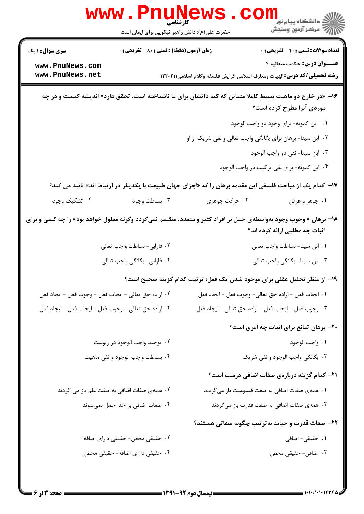|                                                                                                                 | www.Pnunew<br>حضرت علی(ع): دانش راهبر نیکویی برای ایمان است |               | الاد دانشگاه پيام نور<br>الاد دانشگاه پيام نور<br>الا                                                                                   |
|-----------------------------------------------------------------------------------------------------------------|-------------------------------------------------------------|---------------|-----------------------------------------------------------------------------------------------------------------------------------------|
| <b>سری سوال : ۱ یک</b>                                                                                          | <b>زمان آزمون (دقیقه) : تستی : 80 ٪ تشریحی : 0</b>          |               | <b>تعداد سوالات : تستی : 40 ٪ تشریحی : 0</b>                                                                                            |
| www.PnuNews.com<br>www.PnuNews.net                                                                              |                                                             |               | عنـــوان درس: حکمت متعالیه ۴<br><b>رشته تحصیلی/کد درس:</b> الهیات ومعارف اسلامی گرایش فلسفه وکلام اسلامی1۲۲۰۲۱۱                         |
|                                                                                                                 |                                                             |               | ۱۶- «در خارج دو ماهیت بسیط کاملا متباین که کنه ذاتشان برای ما ناشناخته است، تحقق دارد» اندیشه کیست و در چه<br>موردی آنرا مطرح کرده است؟ |
|                                                                                                                 |                                                             |               | ٠١ ابن كمونه- براى وجود دو واجب الوجود                                                                                                  |
|                                                                                                                 |                                                             |               | ۰۲ ابن سینا- برهان برای یگانگی واجب تعالی و نفی شریک از او                                                                              |
|                                                                                                                 |                                                             |               | ۰۳ ابن سينا- نفي دو واجب الوجود                                                                                                         |
|                                                                                                                 |                                                             |               | ۰۴ ابن کمونه- برای نفی ترکیب در واجب الوجود                                                                                             |
|                                                                                                                 |                                                             |               | ۱۷− کدام یک از مباحث فلسفی این مقدمه برهان را که «اجزای جهان طبیعت با یکدیگر در ارتباط اند» تائید می کند؟                               |
| ۰۴ تشکیک وجود                                                                                                   | ۰۳ بساطت وجود                                               | ۰۲ حرکت جوهری | ۰۱ جوهر و عرض                                                                                                                           |
| ۱۸- برهان « وجوب وجود بهواسطهی حمل بر افراد کثیر و متعدد، منقسم نمیگردد وگرنه معلول خواهد بود» را چه کسی و برای |                                                             |               | اثبات چه مطلبی ارائه کرده اند؟                                                                                                          |
|                                                                                                                 | ٢. فارابي- بساطت واجب تعالى                                 |               | ٠١ ابن سينا- بساطت واجب تعالى                                                                                                           |
|                                                                                                                 | ۰۴ فارابی- یگانگی واجب تعالی                                |               | ۰۳ ابن سینا- یگانگی واجب تعالی                                                                                                          |
|                                                                                                                 |                                                             |               | ۱۹– از منظر تحلیل عقلی برای موجود شدن یک فعل؛ ترتیب کدام گزینه صحیح است؟                                                                |
| ٢. اراده حق تعالى - ايجاب فعل - وجوب فعل - ايجاد فعل                                                            |                                                             |               | ٠١. ايجاب فعل -اراده حق تعالى- وجوب فعل - ايجاد فعل                                                                                     |
| ۰۴ اراده حق تعالى - وجوب فعل - ايجاب فعل - ايجاد فعل                                                            |                                                             |               | ۰۳ وجوب فعل - ايجاب فعل - اراده حق تعالى - ايجاد فعل                                                                                    |
|                                                                                                                 |                                                             |               | <b>۲۰</b> - برهان تمانع برای اثبات چه امری است؟                                                                                         |
|                                                                                                                 | ٢. توحيد واجب الوجود در ربوبيت                              |               | ٠١. واجب الوجود                                                                                                                         |
|                                                                                                                 | ۰۴ بساطت واجب الوجود و نفي ماهيت                            |               | ۰۳ یگانگی واجب الوجود و نفی شریک                                                                                                        |
|                                                                                                                 |                                                             |               | <b>۲۱</b> – کدام گزینه دربارهی صفات اضافی درست است؟                                                                                     |
|                                                                                                                 | ۰۲ همهی صفات اضافی به صفت علم باز می گردند.                 |               | ۰۱ همهی صفات اضافی به صفت قیمومیت باز میگردند                                                                                           |
|                                                                                                                 | ۰۴ صفات اضافی بر خدا حمل نمیشوند                            |               | ۰۳ همهی صفات اضافی به صفت قدرت باز میگردند                                                                                              |
|                                                                                                                 |                                                             |               | ۲۲- صفات قدرت و حیات به تر تیب چگونه صفاتی هستند؟                                                                                       |
|                                                                                                                 | ۰۲ حقیقی محض- حقیقی دارای اضافه                             |               | ۰۱ حقیقی- اضافی                                                                                                                         |
|                                                                                                                 | ۰۴ حقیقی دارای اضافه- حقیقی محض                             |               | ۰۳ اضافی- حقیقی محض                                                                                                                     |
|                                                                                                                 |                                                             |               |                                                                                                                                         |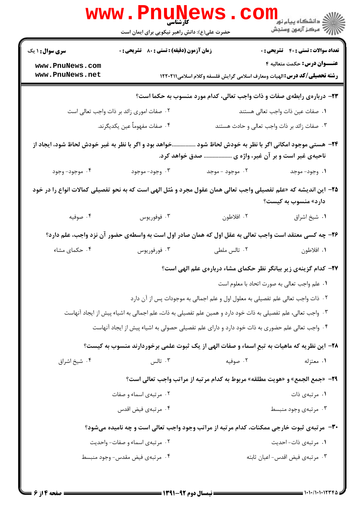|                                                                                                                                                               | www.Pnune<br>حضرت علی(ع): دانش راهبر نیکویی برای ایمان است                                                      |                                                                                 | <sup>ال</sup> اد دانشگاه پيام نور <mark>−<br/> ∭هرکز آزمون وسنجش</mark> |  |
|---------------------------------------------------------------------------------------------------------------------------------------------------------------|-----------------------------------------------------------------------------------------------------------------|---------------------------------------------------------------------------------|-------------------------------------------------------------------------|--|
| <b>سری سوال : ۱ یک</b>                                                                                                                                        | زمان آزمون (دقیقه) : تستی : 80 ٪ تشریحی : 0                                                                     |                                                                                 | <b>تعداد سوالات : تستی : 40 - تشریحی : 0</b>                            |  |
| www.PnuNews.com<br>www.PnuNews.net                                                                                                                            |                                                                                                                 | <b>رشته تحصیلی/گد درس:</b> الهیات ومعارف اسلامی گرایش فلسفه وکلام اسلامی۱۲۲۰۲۱۱ | <b>عنـــوان درس:</b> حکمت متعالیه ۴                                     |  |
|                                                                                                                                                               |                                                                                                                 | ۲۳- دربارهی رابطهی صفات و ذات واجب تعالی، کدام مورد منسوب به حکما است؟          |                                                                         |  |
| ۰۲ صفات اموری زائد بر ذات واجب تعالی است<br>٠١. صفات عين ذات واجب تعالى هستند                                                                                 |                                                                                                                 |                                                                                 |                                                                         |  |
|                                                                                                                                                               | ۰۴ صفات مفهوماً عين يكديگرند.<br>۰۳ صفات زائد بر ذات واجب تعالى و حادث هستند                                    |                                                                                 |                                                                         |  |
| ۲۴- هستی موجود امکانی اگر با نظر به خودش لحاظ شود خواهد بود و اگر با نظر به غیر خودش لحاظ شود، ایجاد از<br>ناحیهی غیر است و بر آن غیر، واژه ی  صدق خواهد کرد. |                                                                                                                 |                                                                                 |                                                                         |  |
| ۰۴ موجود- وجود                                                                                                                                                | ۰۳ وجود- موجود                                                                                                  | ۰۲ موجود - موجد                                                                 | ۰۱ وجود- موجد                                                           |  |
|                                                                                                                                                               | ۲۵– این اندیشه که «علم تفصیلی واجب تعالی همان عقول مجرد و مُثل الهی است که به نحو تفصیلی کمالات انواع را در خود |                                                                                 | دارد» منسوب به کیست؟                                                    |  |
| ۰۴ صوفیه                                                                                                                                                      | ۰۳ فوفوريوس                                                                                                     | ۰۲ افلاطون                                                                      | ۰۱ شیخ اشراق                                                            |  |
|                                                                                                                                                               | ۲۶- چه کسی معتقد است واجب تعالی به عقل اول که همان صادر اول است به واسطهی حضور آن نزد واجب، علم دارد؟           |                                                                                 |                                                                         |  |
| ۰۴ حکمای مشاء                                                                                                                                                 | ۰۳ فورفوريوس                                                                                                    | ۰۲ تالس ملطی                                                                    | ۰۱ افلاطون                                                              |  |
|                                                                                                                                                               |                                                                                                                 | ۲۷- کدام گزینهی زیر بیانگر نظر حکمای مشاء دربارهی علم الهی است؟                 |                                                                         |  |
|                                                                                                                                                               |                                                                                                                 |                                                                                 | ۰۱ علم واجب تعالى به صورت اتحاد با معلوم است                            |  |
|                                                                                                                                                               |                                                                                                                 | ۰۲ ذات واجب تعالی علم تفصیلی به معلول اول و علم اجمالی به موجودات پس از آن دارد |                                                                         |  |
|                                                                                                                                                               | ۰۳ واجب تعالی، علم تفصیلی به ذات خود دارد و همین علم تفصیلی به ذات، علم اجمالی به اشیاء پیش از ایجاد آنهاست     |                                                                                 |                                                                         |  |
|                                                                                                                                                               | ۰۴ واجب تعالی علم حضوری به ذات خود دارد و دارای علم تفصیلی حصولی به اشیاء پیش از ایجاد آنهاست                   |                                                                                 |                                                                         |  |
|                                                                                                                                                               | ۲۸– این نظریه که ماهیات به تبع اسماء و صفات الهی از یک ثبوت علمی برخوردارند منسوب به کیست؟                      |                                                                                 |                                                                         |  |
| ۰۴ شیخ اشراق                                                                                                                                                  | تالس $\cdot$ "                                                                                                  | ۰۲ صوفیه                                                                        | ۰۱ معتزله                                                               |  |
|                                                                                                                                                               |                                                                                                                 | 29- «جمع الجمع» و «هويت مطلقه» مربوط به كدام مرتبه از مراتب واجب تعالى است؟     |                                                                         |  |
|                                                                                                                                                               | ۰۲ مرتبهی اسماء و صفات                                                                                          |                                                                                 | ۰۱ مرتبهی ذات                                                           |  |
|                                                                                                                                                               | ۰۴ مرتبهي فيض اقدس                                                                                              |                                                                                 | ۰۳ مرتبهی وجود منبسط                                                    |  |
|                                                                                                                                                               | ۳۰- مرتبهی ثبوت خارجی ممکنات، کدام مرتبه از مراتب وجود واجب تعالی است و چه نامیده میشود؟                        |                                                                                 |                                                                         |  |
|                                                                                                                                                               | ۰۲ مرتبهی اسماء و صفات- واحدیت                                                                                  |                                                                                 | ۰۱ مرتبهی ذات- احدیت                                                    |  |
|                                                                                                                                                               | ۰۴ مرتبهى فيض مقدس- وجود منبسط                                                                                  |                                                                                 | ۰۳ مرتبهى فيض اقدس- اعيان ثابته                                         |  |
|                                                                                                                                                               |                                                                                                                 |                                                                                 |                                                                         |  |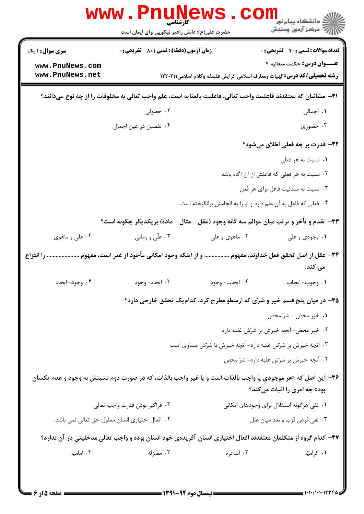|                                                                                                               | <b>www.PnuNewS</b><br>حضرت علی(ع): دانش راهبر نیکویی برای ایمان است |                                                                | ر دانشکاه پيام نور <mark>− ا</mark><br>ا <mark>ر</mark> = مرکز آزمون وسنجش                                                                         |
|---------------------------------------------------------------------------------------------------------------|---------------------------------------------------------------------|----------------------------------------------------------------|----------------------------------------------------------------------------------------------------------------------------------------------------|
| <b>سری سوال : ۱ یک</b>                                                                                        | <b>زمان آزمون (دقیقه) : تستی : 80 ٪ تشریحی : 0</b>                  |                                                                | <b>تعداد سوالات : تستی : 40 ٪ تشریحی : 0</b>                                                                                                       |
| www.PnuNews.com                                                                                               |                                                                     |                                                                | <b>عنـــوان درس:</b> حکمت متعالیه ۴                                                                                                                |
| www.PnuNews.net                                                                                               |                                                                     |                                                                | <b>رشته تحصیلی/کد درس: ا</b> لهیات ومعارف اسلامی گرایش فلسفه وکلام اسلامی1۲۲۰۲۱۱                                                                   |
|                                                                                                               |                                                                     |                                                                | ٣١- مشائيان كه معتقدند فاعليت واجب تعالى، فاعليت بالعنايه است، علم واجب تعالى به مخلوقات را از چه نوع مىدانند؟                                     |
|                                                                                                               | ۰۲ حصولی                                                            |                                                                | ۰۱ اجمالی                                                                                                                                          |
|                                                                                                               | ۰۴ تفصیل در عین اجمال                                               |                                                                | ۰۳ حضوری                                                                                                                                           |
|                                                                                                               |                                                                     |                                                                | ۳۲- قدرت بر چه فعلی اطلاق میشود؟                                                                                                                   |
|                                                                                                               |                                                                     |                                                                | ٠١ نسبت به هر فعلى                                                                                                                                 |
|                                                                                                               |                                                                     |                                                                | ۰۲ نسبت به هر فعلی که فاعلش از آن آگاه باشد                                                                                                        |
|                                                                                                               |                                                                     |                                                                | ۰۳ نسبت به مبدئیت فاعل برای هر فعل                                                                                                                 |
|                                                                                                               |                                                                     | ۰۴ فعلی که فاعل به آن علم دارد و او را به انجامش برانگیخته است |                                                                                                                                                    |
|                                                                                                               |                                                                     |                                                                | ۳۳- تقدم و تأخر و ترتب میان عوالم سه گانه وجود (عقل - مثال - ماده) بریکدیگر چگونه است؟                                                             |
| ۰۴ علی و ماهوی                                                                                                | ۰۳ علّی و زمانی                                                     | ۰۲ ماهوی و علی                                                 | ۰۱ وجودی و علی                                                                                                                                     |
| ۳۴– عقل از اصل تحقق فعل خداوند، مفهوم  و از اینکه وجود امکانی مأخوذ از غیر است، مفهوم  را انتزاع              |                                                                     |                                                                |                                                                                                                                                    |
|                                                                                                               |                                                                     |                                                                | می کند.                                                                                                                                            |
| ۰۴ وجود- ايجاد                                                                                                | ۰۳ ایجاد- وجود                                                      | ۰۲ ایجاب- وجود                                                 | ٠١. وجوب- ايجاب                                                                                                                                    |
|                                                                                                               |                                                                     |                                                                | ۳۵– در میان پنج قسم خیر و شرّی که ارسطو مطرح کرد، کدامیک تحقق خارجی دارد؟                                                                          |
|                                                                                                               |                                                                     |                                                                | ٠١ خير محض - شرّ محض                                                                                                                               |
|                                                                                                               |                                                                     |                                                                | ٢. خير محض- آنچه خيرش بر شرّش غلبه دارد                                                                                                            |
|                                                                                                               |                                                                     | ۰۳ آنچه خیرش بر شرّش غلبه دارد- آنچه خیرش با شرّش مساوی است    |                                                                                                                                                    |
|                                                                                                               |                                                                     |                                                                | ۰۴ آنچه خیرش بر شرّش غلبه دارد- شرّ محض                                                                                                            |
|                                                                                                               |                                                                     |                                                                | ۳۶- این اصل که «هر موجودی یا واجب بالذات است و یا غیر واجب بالذات، که در صورت دوم نسبتش به وجود و عدم یکسان<br><b>بود» چه امری را اثبات میکند؟</b> |
|                                                                                                               | ۰۲ فراگیر بودن قدرت واجب تعالی                                      |                                                                | ۰۱ نفی هر گونه استقلال برای وجودهای امکانی                                                                                                         |
|                                                                                                               | ۰۴ افعال اختیاری انسان معلول حق تعالی نمی باشد.                     |                                                                | ۰۳ نفي فرض قرب و بعد ميان علل                                                                                                                      |
| ۳۷– کدام گروه از متکلمان معتقدند افعال اختیاری انسان آفریدهی خود انسان بوده و واجب تعالی مدخلیتی در آن ندارد؟ |                                                                     |                                                                |                                                                                                                                                    |
| ۰۴ امامیه                                                                                                     | ۰۳ معتزله                                                           | ۰۲ اشاعره                                                      | ۰۱ کرامیّه                                                                                                                                         |
|                                                                                                               |                                                                     |                                                                |                                                                                                                                                    |